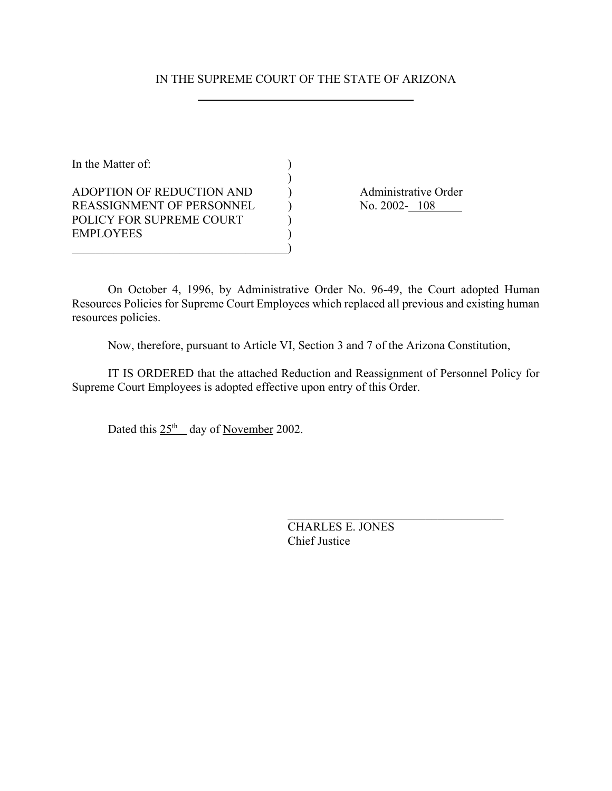# IN THE SUPREME COURT OF THE STATE OF ARIZONA

)

In the Matter of:  $\qquad \qquad$  ) ADOPTION OF REDUCTION AND ) Administrative Order REASSIGNMENT OF PERSONNEL (No. 2002-108 POLICY FOR SUPREME COURT  $)$ **EMPLOYEES**  $\qquad \qquad \qquad \qquad \qquad \qquad \qquad$ 

On October 4, 1996, by Administrative Order No. 96-49, the Court adopted Human Resources Policies for Supreme Court Employees which replaced all previous and existing human resources policies.

Now, therefore, pursuant to Article VI, Section 3 and 7 of the Arizona Constitution,

IT IS ORDERED that the attached Reduction and Reassignment of Personnel Policy for Supreme Court Employees is adopted effective upon entry of this Order.

Dated this  $25<sup>th</sup>$  day of November 2002.

CHARLES E. JONES Chief Justice

 $\mathcal{L}_\text{max}$  , and the set of the set of the set of the set of the set of the set of the set of the set of the set of the set of the set of the set of the set of the set of the set of the set of the set of the set of the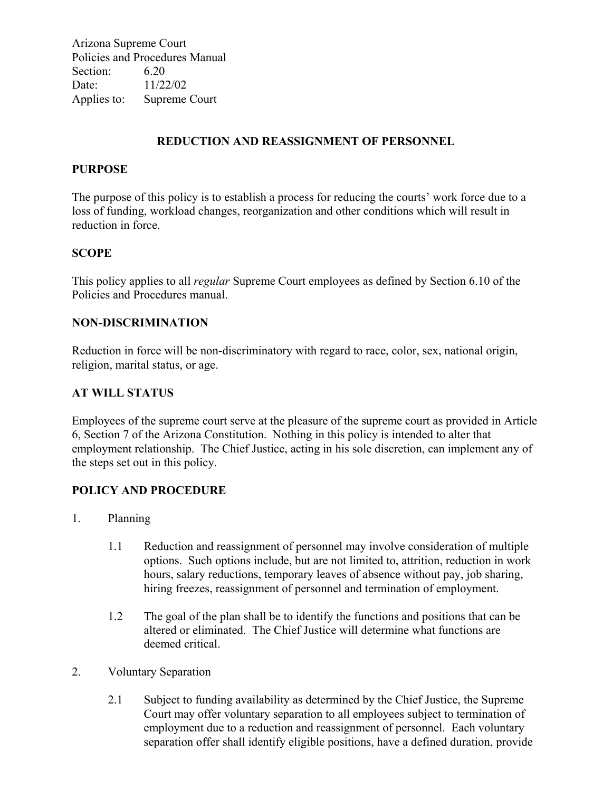Arizona Supreme Court Policies and Procedures Manual Section: 6.20 Date: 11/22/02 Applies to: Supreme Court

# **REDUCTION AND REASSIGNMENT OF PERSONNEL**

### **PURPOSE**

The purpose of this policy is to establish a process for reducing the courts' work force due to a loss of funding, workload changes, reorganization and other conditions which will result in reduction in force.

#### **SCOPE**

This policy applies to all *regular* Supreme Court employees as defined by Section 6.10 of the Policies and Procedures manual.

#### **NON-DISCRIMINATION**

Reduction in force will be non-discriminatory with regard to race, color, sex, national origin, religion, marital status, or age.

### **AT WILL STATUS**

Employees of the supreme court serve at the pleasure of the supreme court as provided in Article 6, Section 7 of the Arizona Constitution. Nothing in this policy is intended to alter that employment relationship. The Chief Justice, acting in his sole discretion, can implement any of the steps set out in this policy.

## **POLICY AND PROCEDURE**

- 1. Planning
	- 1.1 Reduction and reassignment of personnel may involve consideration of multiple options. Such options include, but are not limited to, attrition, reduction in work hours, salary reductions, temporary leaves of absence without pay, job sharing, hiring freezes, reassignment of personnel and termination of employment.
	- 1.2 The goal of the plan shall be to identify the functions and positions that can be altered or eliminated. The Chief Justice will determine what functions are deemed critical.
- 2. Voluntary Separation
	- 2.1 Subject to funding availability as determined by the Chief Justice, the Supreme Court may offer voluntary separation to all employees subject to termination of employment due to a reduction and reassignment of personnel. Each voluntary separation offer shall identify eligible positions, have a defined duration, provide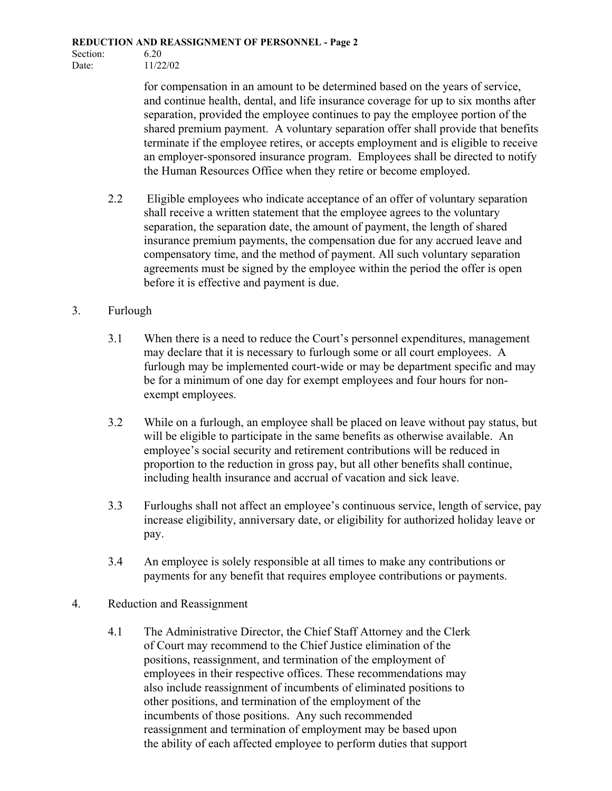Section: 6.20 Date: 11/22/02

> for compensation in an amount to be determined based on the years of service, and continue health, dental, and life insurance coverage for up to six months after separation, provided the employee continues to pay the employee portion of the shared premium payment. A voluntary separation offer shall provide that benefits terminate if the employee retires, or accepts employment and is eligible to receive an employer-sponsored insurance program. Employees shall be directed to notify the Human Resources Office when they retire or become employed.

- 2.2 Eligible employees who indicate acceptance of an offer of voluntary separation shall receive a written statement that the employee agrees to the voluntary separation, the separation date, the amount of payment, the length of shared insurance premium payments, the compensation due for any accrued leave and compensatory time, and the method of payment. All such voluntary separation agreements must be signed by the employee within the period the offer is open before it is effective and payment is due.
- 3. Furlough
	- 3.1 When there is a need to reduce the Court's personnel expenditures, management may declare that it is necessary to furlough some or all court employees. A furlough may be implemented court-wide or may be department specific and may be for a minimum of one day for exempt employees and four hours for nonexempt employees.
	- 3.2 While on a furlough, an employee shall be placed on leave without pay status, but will be eligible to participate in the same benefits as otherwise available. An employee's social security and retirement contributions will be reduced in proportion to the reduction in gross pay, but all other benefits shall continue, including health insurance and accrual of vacation and sick leave.
	- 3.3 Furloughs shall not affect an employee's continuous service, length of service, pay increase eligibility, anniversary date, or eligibility for authorized holiday leave or pay.
	- 3.4 An employee is solely responsible at all times to make any contributions or payments for any benefit that requires employee contributions or payments.
- 4. Reduction and Reassignment
	- 4.1 The Administrative Director, the Chief Staff Attorney and the Clerk of Court may recommend to the Chief Justice elimination of the positions, reassignment, and termination of the employment of employees in their respective offices. These recommendations may also include reassignment of incumbents of eliminated positions to other positions, and termination of the employment of the incumbents of those positions. Any such recommended reassignment and termination of employment may be based upon the ability of each affected employee to perform duties that support